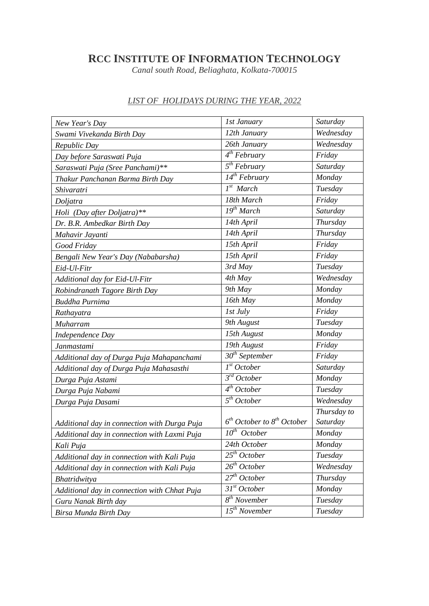## **RCC INSTITUTE OF INFORMATION TECHNOLOGY**

*Canal south Road, Beliaghata, Kolkata-700015*

| New Year's Day                               | 1st January                           | Saturday    |
|----------------------------------------------|---------------------------------------|-------------|
| Swami Vivekanda Birth Day                    | 12th January                          | Wednesday   |
| Republic Day                                 | 26th January                          | Wednesday   |
| Day before Saraswati Puja                    | $4^{th}$ February                     | Friday      |
| Saraswati Puja (Sree Panchami)**             | 5 <sup>th</sup> February              | Saturday    |
| Thakur Panchanan Barma Birth Day             | $14^{th}$ February                    | Monday      |
| Shivaratri                                   | $Ist$ March                           | Tuesday     |
| Doljatra                                     | 18th March                            | Friday      |
| Holi (Day after Doljatra)**                  | $\overline{19^{th}}$ March            | Saturday    |
| Dr. B.R. Ambedkar Birth Day                  | 14th April                            | Thursday    |
| Mahavir Jayanti                              | 14th April                            | Thursday    |
| Good Friday                                  | 15th April                            | Friday      |
| Bengali New Year's Day (Nababarsha)          | 15th April                            | Friday      |
| Eid-Ul-Fitr                                  | 3rd May                               | Tuesday     |
| Additional day for Eid-Ul-Fitr               | 4th May                               | Wednesday   |
| Robindranath Tagore Birth Day                | 9th May                               | Monday      |
| <b>Buddha Purnima</b>                        | 16th May                              | Monday      |
| Rathayatra                                   | 1st July                              | Friday      |
| Muharram                                     | 9th August                            | Tuesday     |
| <b>Independence Day</b>                      | 15th August                           | Monday      |
| <b>Janmastami</b>                            | 19th August                           | Friday      |
| Additional day of Durga Puja Mahapanchami    | 30 <sup>th</sup> September            | Friday      |
| Additional day of Durga Puja Mahasasthi      | 1 <sup>st</sup> October               | Saturday    |
| Durga Puja Astami                            | $\overline{\mathcal{S}}^{rd}$ October | Monday      |
| Durga Puja Nabami                            | $4^{th}$ October                      | Tuesday     |
| Durga Puja Dasami                            | $\overline{5}$ <sup>th</sup> October  | Wednesday   |
|                                              |                                       | Thursday to |
| Additional day in connection with Durga Puja | $6th October to 8th October$          | Saturday    |
| Additional day in connection with Laxmi Puja | $\overline{10}^{th}$ October          | Monday      |
| Kali Puja                                    | 24th October                          | Monday      |
| Additional day in connection with Kali Puja  | $25^{th}$ October                     | Tuesday     |
| Additional day in connection with Kali Puja  | 26 <sup>th</sup> October              | Wednesday   |
| Bhatridwitya                                 | 27 <sup>th</sup> October              | Thursday    |
| Additional day in connection with Chhat Puja | 31 <sup>st</sup> October              | Monday      |
| Guru Nanak Birth day                         | 8 <sup>th</sup> November              | Tuesday     |
| Birsa Munda Birth Day                        | $15^{th}$ November                    | Tuesday     |

## *LIST OF HOLIDAYS DURING THE YEAR, 2022*